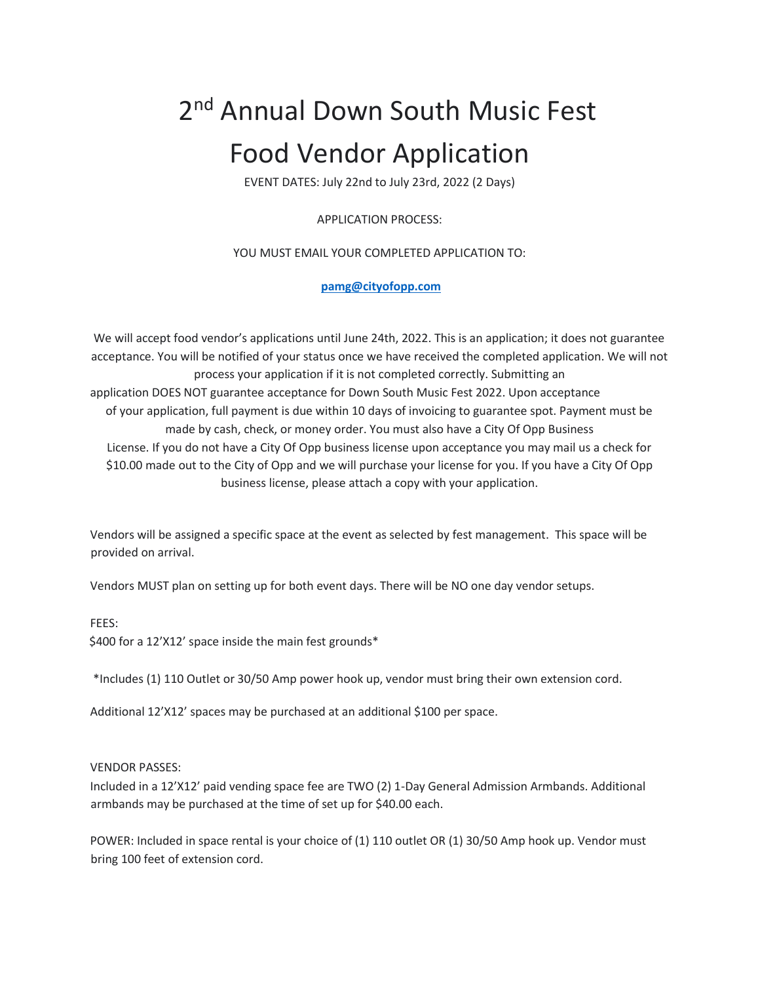# 2<sup>nd</sup> Annual Down South Music Fest Food Vendor Application

EVENT DATES: July 22nd to July 23rd, 2022 (2 Days)

APPLICATION PROCESS:

## YOU MUST EMAIL YOUR COMPLETED APPLICATION TO:

## **pamg@cityofopp.com**

We will accept food vendor's applications until June 24th, 2022. This is an application; it does not guarantee acceptance. You will be notified of your status once we have received the completed application. We will not process your application if it is not completed correctly. Submitting an application DOES NOT guarantee acceptance for Down South Music Fest 2022. Upon acceptance of your application, full payment is due within 10 days of invoicing to guarantee spot. Payment must be made by cash, check, or money order. You must also have a City Of Opp Business License. If you do not have a City Of Opp business license upon acceptance you may mail us a check for \$10.00 made out to the City of Opp and we will purchase your license for you. If you have a City Of Opp business license, please attach a copy with your application.

Vendors will be assigned a specific space at the event as selected by fest management. This space will be provided on arrival.

Vendors MUST plan on setting up for both event days. There will be NO one day vendor setups.

FEES:

\$400 for a 12'X12' space inside the main fest grounds\*

\*Includes (1) 110 Outlet or 30/50 Amp power hook up, vendor must bring their own extension cord.

Additional 12'X12' spaces may be purchased at an additional \$100 per space.

#### VENDOR PASSES:

Included in a 12'X12' paid vending space fee are TWO (2) 1-Day General Admission Armbands. Additional armbands may be purchased at the time of set up for \$40.00 each.

POWER: Included in space rental is your choice of (1) 110 outlet OR (1) 30/50 Amp hook up. Vendor must bring 100 feet of extension cord.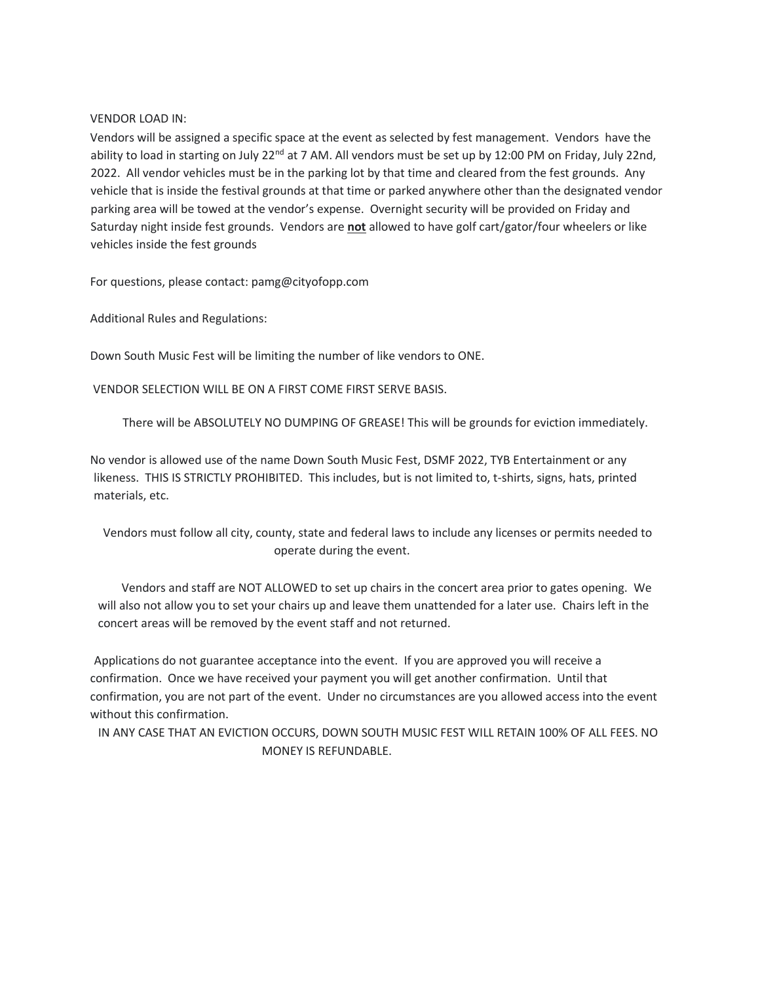#### VENDOR LOAD IN:

Vendors will be assigned a specific space at the event as selected by fest management. Vendors have the ability to load in starting on July 22<sup>nd</sup> at 7 AM. All vendors must be set up by 12:00 PM on Friday, July 22nd, 2022. All vendor vehicles must be in the parking lot by that time and cleared from the fest grounds. Any vehicle that is inside the festival grounds at that time or parked anywhere other than the designated vendor parking area will be towed at the vendor's expense. Overnight security will be provided on Friday and Saturday night inside fest grounds. Vendors are **not** allowed to have golf cart/gator/four wheelers or like vehicles inside the fest grounds

For questions, please contact: pamg@cityofopp.com

Additional Rules and Regulations:

Down South Music Fest will be limiting the number of like vendors to ONE.

VENDOR SELECTION WILL BE ON A FIRST COME FIRST SERVE BASIS.

There will be ABSOLUTELY NO DUMPING OF GREASE! This will be grounds for eviction immediately.

No vendor is allowed use of the name Down South Music Fest, DSMF 2022, TYB Entertainment or any likeness. THIS IS STRICTLY PROHIBITED. This includes, but is not limited to, t-shirts, signs, hats, printed materials, etc.

Vendors must follow all city, county, state and federal laws to include any licenses or permits needed to operate during the event.

Vendors and staff are NOT ALLOWED to set up chairs in the concert area prior to gates opening. We will also not allow you to set your chairs up and leave them unattended for a later use. Chairs left in the concert areas will be removed by the event staff and not returned.

Applications do not guarantee acceptance into the event. If you are approved you will receive a confirmation. Once we have received your payment you will get another confirmation. Until that confirmation, you are not part of the event. Under no circumstances are you allowed access into the event without this confirmation.

IN ANY CASE THAT AN EVICTION OCCURS, DOWN SOUTH MUSIC FEST WILL RETAIN 100% OF ALL FEES. NO MONEY IS REFUNDABLE.